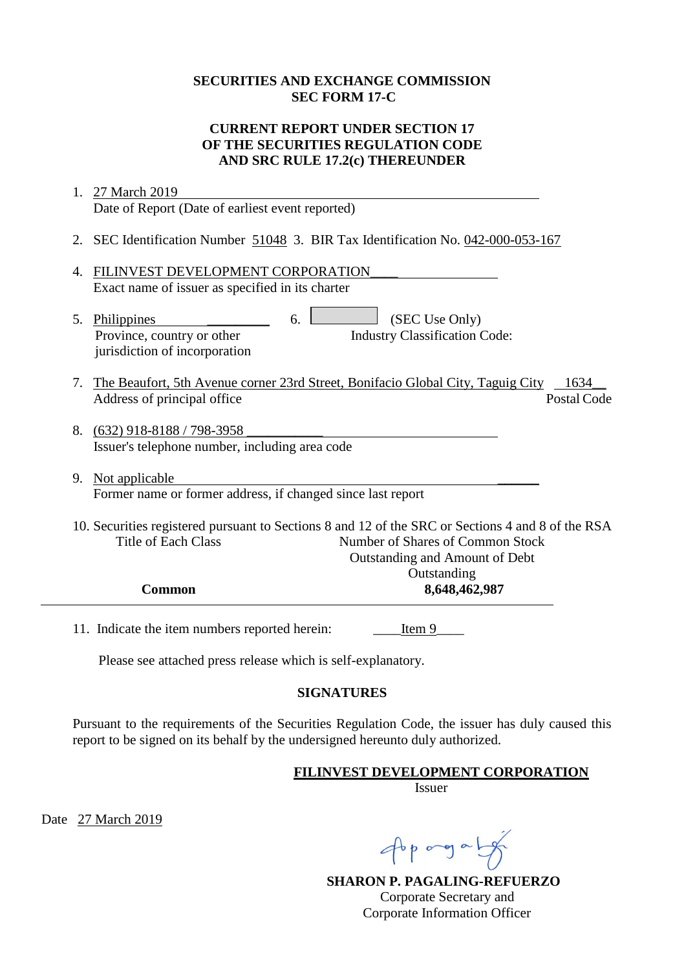#### **SECURITIES AND EXCHANGE COMMISSION SEC FORM 17-C**

### **CURRENT REPORT UNDER SECTION 17 OF THE SECURITIES REGULATION CODE AND SRC RULE 17.2(c) THEREUNDER**

|    | 1. 27 March 2019                                                                                                                                                                                      |
|----|-------------------------------------------------------------------------------------------------------------------------------------------------------------------------------------------------------|
|    | Date of Report (Date of earliest event reported)                                                                                                                                                      |
|    | 2. SEC Identification Number 51048 3. BIR Tax Identification No. 042-000-053-167                                                                                                                      |
| 4. | FILINVEST DEVELOPMENT CORPORATION<br>Exact name of issuer as specified in its charter                                                                                                                 |
| 5. | (SEC Use Only)<br>Philippines<br>6.<br><b>Industry Classification Code:</b><br>Province, country or other<br>jurisdiction of incorporation                                                            |
| 7. | The Beaufort, 5th Avenue corner 23rd Street, Bonifacio Global City, Taguig City<br>1634<br>Postal Code<br>Address of principal office                                                                 |
|    | 8. (632) 918-8188 / 798-3958<br>Issuer's telephone number, including area code                                                                                                                        |
|    | 9. Not applicable<br>Former name or former address, if changed since last report                                                                                                                      |
|    | 10. Securities registered pursuant to Sections 8 and 12 of the SRC or Sections 4 and 8 of the RSA<br><b>Title of Each Class</b><br>Number of Shares of Common Stock<br>Outstanding and Amount of Debt |
|    | Outstanding<br>8,648,462,987<br><b>Common</b>                                                                                                                                                         |
|    | 11. Indicate the item numbers reported herein:<br>Item 9                                                                                                                                              |
|    | Please see attached press release which is self-explanatory.                                                                                                                                          |

#### **SIGNATURES**

Pursuant to the requirements of the Securities Regulation Code, the issuer has duly caused this report to be signed on its behalf by the undersigned hereunto duly authorized.

**FILINVEST DEVELOPMENT CORPORATION**

Issuer

Date 27 March 2019

Apprograms

**SHARON P. PAGALING-REFUERZO** Corporate Secretary and Corporate Information Officer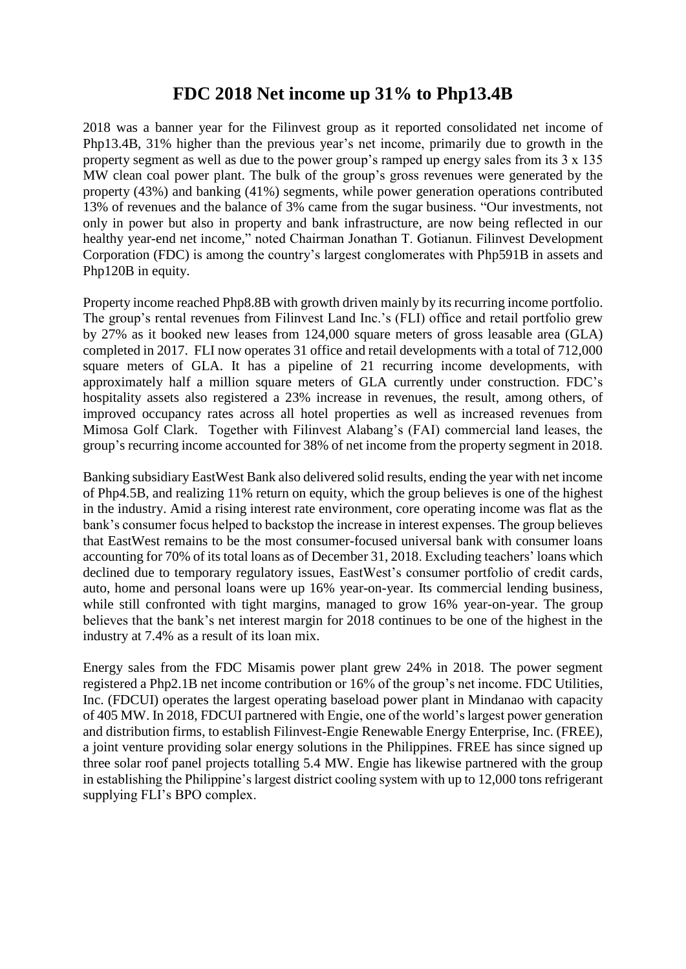# **FDC 2018 Net income up 31% to Php13.4B**

2018 was a banner year for the Filinvest group as it reported consolidated net income of Php13.4B, 31% higher than the previous year's net income, primarily due to growth in the property segment as well as due to the power group's ramped up energy sales from its 3 x 135 MW clean coal power plant. The bulk of the group's gross revenues were generated by the property (43%) and banking (41%) segments, while power generation operations contributed 13% of revenues and the balance of 3% came from the sugar business. "Our investments, not only in power but also in property and bank infrastructure, are now being reflected in our healthy year-end net income," noted Chairman Jonathan T. Gotianun. Filinvest Development Corporation (FDC) is among the country's largest conglomerates with Php591B in assets and Php120B in equity.

Property income reached Php8.8B with growth driven mainly by its recurring income portfolio. The group's rental revenues from Filinvest Land Inc.'s (FLI) office and retail portfolio grew by 27% as it booked new leases from 124,000 square meters of gross leasable area (GLA) completed in 2017. FLI now operates 31 office and retail developments with a total of 712,000 square meters of GLA. It has a pipeline of 21 recurring income developments, with approximately half a million square meters of GLA currently under construction. FDC's hospitality assets also registered a 23% increase in revenues, the result, among others, of improved occupancy rates across all hotel properties as well as increased revenues from Mimosa Golf Clark. Together with Filinvest Alabang's (FAI) commercial land leases, the group's recurring income accounted for 38% of net income from the property segment in 2018.

Banking subsidiary EastWest Bank also delivered solid results, ending the year with net income of Php4.5B, and realizing 11% return on equity, which the group believes is one of the highest in the industry. Amid a rising interest rate environment, core operating income was flat as the bank's consumer focus helped to backstop the increase in interest expenses. The group believes that EastWest remains to be the most consumer-focused universal bank with consumer loans accounting for 70% of its total loans as of December 31, 2018. Excluding teachers' loans which declined due to temporary regulatory issues, EastWest's consumer portfolio of credit cards, auto, home and personal loans were up 16% year-on-year. Its commercial lending business, while still confronted with tight margins, managed to grow 16% year-on-year. The group believes that the bank's net interest margin for 2018 continues to be one of the highest in the industry at 7.4% as a result of its loan mix.

Energy sales from the FDC Misamis power plant grew 24% in 2018. The power segment registered a Php2.1B net income contribution or 16% of the group's net income. FDC Utilities, Inc. (FDCUI) operates the largest operating baseload power plant in Mindanao with capacity of 405 MW. In 2018, FDCUI partnered with Engie, one of the world's largest power generation and distribution firms, to establish Filinvest-Engie Renewable Energy Enterprise, Inc. (FREE), a joint venture providing solar energy solutions in the Philippines. FREE has since signed up three solar roof panel projects totalling 5.4 MW. Engie has likewise partnered with the group in establishing the Philippine's largest district cooling system with up to 12,000 tons refrigerant supplying FLI's BPO complex.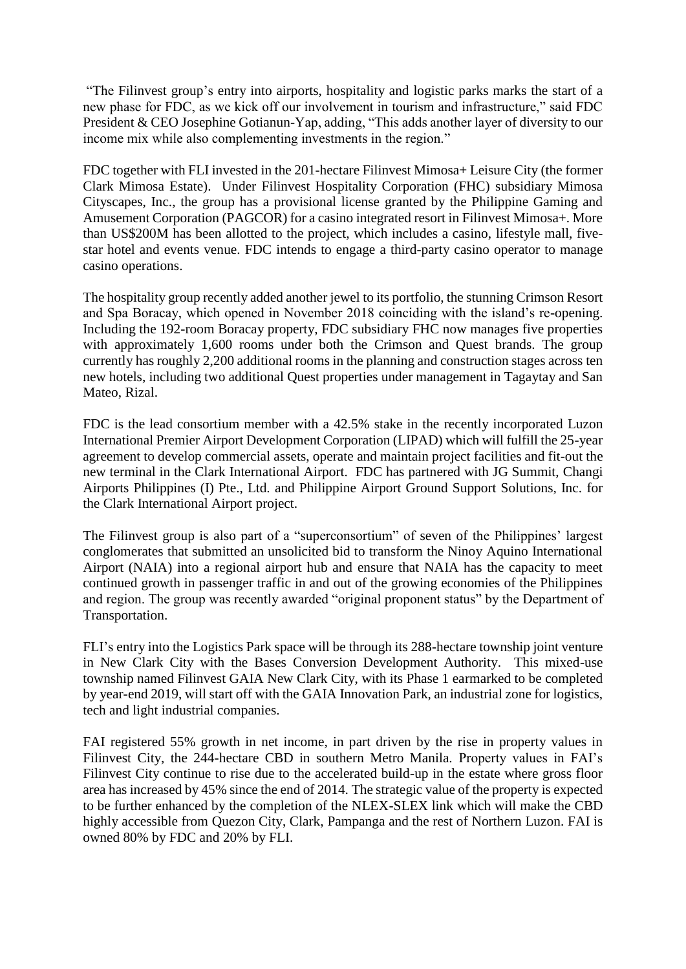"The Filinvest group's entry into airports, hospitality and logistic parks marks the start of a new phase for FDC, as we kick off our involvement in tourism and infrastructure," said FDC President & CEO Josephine Gotianun-Yap, adding, "This adds another layer of diversity to our income mix while also complementing investments in the region."

FDC together with FLI invested in the 201-hectare Filinvest Mimosa+ Leisure City (the former Clark Mimosa Estate). Under Filinvest Hospitality Corporation (FHC) subsidiary Mimosa Cityscapes, Inc., the group has a provisional license granted by the Philippine Gaming and Amusement Corporation (PAGCOR) for a casino integrated resort in Filinvest Mimosa+. More than US\$200M has been allotted to the project, which includes a casino, lifestyle mall, fivestar hotel and events venue. FDC intends to engage a third-party casino operator to manage casino operations.

The hospitality group recently added another jewel to its portfolio, the stunning Crimson Resort and Spa Boracay, which opened in November 2018 coinciding with the island's re-opening. Including the 192-room Boracay property, FDC subsidiary FHC now manages five properties with approximately 1,600 rooms under both the Crimson and Quest brands. The group currently has roughly 2,200 additional rooms in the planning and construction stages across ten new hotels, including two additional Quest properties under management in Tagaytay and San Mateo, Rizal.

FDC is the lead consortium member with a 42.5% stake in the recently incorporated Luzon International Premier Airport Development Corporation (LIPAD) which will fulfill the 25-year agreement to develop commercial assets, operate and maintain project facilities and fit-out the new terminal in the Clark International Airport. FDC has partnered with JG Summit, Changi Airports Philippines (I) Pte., Ltd. and Philippine Airport Ground Support Solutions, Inc. for the Clark International Airport project.

The Filinvest group is also part of a "superconsortium" of seven of the Philippines' largest conglomerates that submitted an unsolicited bid to transform the Ninoy Aquino International Airport (NAIA) into a regional airport hub and ensure that NAIA has the capacity to meet continued growth in passenger traffic in and out of the growing economies of the Philippines and region. The group was recently awarded "original proponent status" by the Department of Transportation.

FLI's entry into the Logistics Park space will be through its 288-hectare township joint venture in New Clark City with the Bases Conversion Development Authority. This mixed-use township named Filinvest GAIA New Clark City, with its Phase 1 earmarked to be completed by year-end 2019, will start off with the GAIA Innovation Park, an industrial zone for logistics, tech and light industrial companies.

FAI registered 55% growth in net income, in part driven by the rise in property values in Filinvest City, the 244-hectare CBD in southern Metro Manila. Property values in FAI's Filinvest City continue to rise due to the accelerated build-up in the estate where gross floor area has increased by 45% since the end of 2014. The strategic value of the property is expected to be further enhanced by the completion of the NLEX-SLEX link which will make the CBD highly accessible from Quezon City, Clark, Pampanga and the rest of Northern Luzon. FAI is owned 80% by FDC and 20% by FLI.